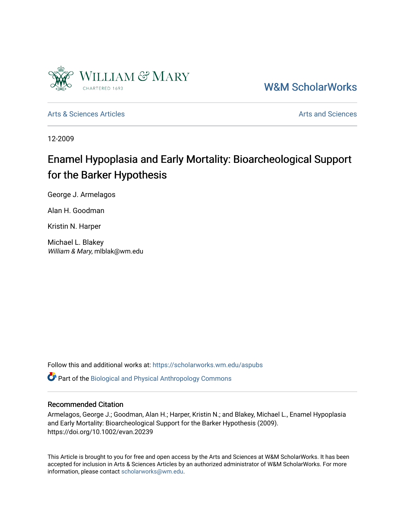

[W&M ScholarWorks](https://scholarworks.wm.edu/) 

[Arts & Sciences Articles](https://scholarworks.wm.edu/aspubs) **Articles** [Arts and Sciences](https://scholarworks.wm.edu/as) Articles Arts and Sciences Arts and Sciences Articles **Arts** and Sciences Arts and Sciences **Arts** and Sciences **Arts** and Sciences **Arts** and Sciences **Arts** and Scien

12-2009

# Enamel Hypoplasia and Early Mortality: Bioarcheological Support for the Barker Hypothesis

George J. Armelagos

Alan H. Goodman

Kristin N. Harper

Michael L. Blakey William & Mary, mlblak@wm.edu

Follow this and additional works at: [https://scholarworks.wm.edu/aspubs](https://scholarworks.wm.edu/aspubs?utm_source=scholarworks.wm.edu%2Faspubs%2F1929&utm_medium=PDF&utm_campaign=PDFCoverPages) 

Part of the [Biological and Physical Anthropology Commons](http://network.bepress.com/hgg/discipline/320?utm_source=scholarworks.wm.edu%2Faspubs%2F1929&utm_medium=PDF&utm_campaign=PDFCoverPages)

## Recommended Citation

Armelagos, George J.; Goodman, Alan H.; Harper, Kristin N.; and Blakey, Michael L., Enamel Hypoplasia and Early Mortality: Bioarcheological Support for the Barker Hypothesis (2009). https://doi.org/10.1002/evan.20239

This Article is brought to you for free and open access by the Arts and Sciences at W&M ScholarWorks. It has been accepted for inclusion in Arts & Sciences Articles by an authorized administrator of W&M ScholarWorks. For more information, please contact [scholarworks@wm.edu](mailto:scholarworks@wm.edu).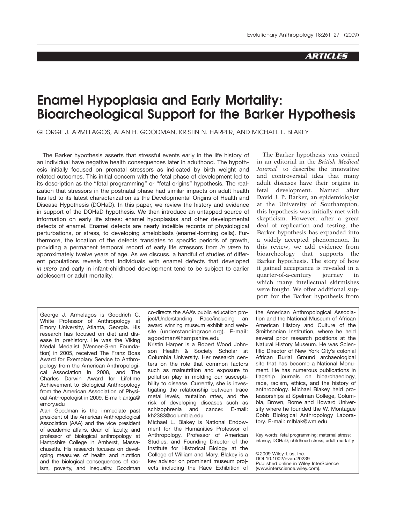#### ARTICLES

## Enamel Hypoplasia and Early Mortality: Bioarcheological Support for the Barker Hypothesis

GEORGE J. ARMELAGOS, ALAN H. GOODMAN, KRISTIN N. HARPER, AND MICHAEL L. BLAKEY

The Barker hypothesis asserts that stressful events early in the life history of an individual have negative health consequences later in adulthood. The hypothesis initially focused on prenatal stressors as indicated by birth weight and related outcomes. This initial concern with the fetal phase of development led to its description as the "fetal programming" or "fetal origins" hypothesis. The realization that stressors in the postnatal phase had similar impacts on adult health has led to its latest characterization as the Developmental Origins of Health and Disease Hypothesis (DOHaD). In this paper, we review the history and evidence in support of the DOHaD hypothesis. We then introduce an untapped source of information on early life stress: enamel hypoplasias and other developmental defects of enamel. Enamel defects are nearly indelible records of physiological perturbations, or stress, to developing ameloblasts (enamel-forming cells). Furthermore, the location of the defects translates to specific periods of growth, providing a permanent temporal record of early life stressors from in utero to approximately twelve years of age. As we discuss, a handful of studies of different populations reveals that individuals with enamel defects that developed in utero and early in infant-childhood development tend to be subject to earlier adolescent or adult mortality.

The Barker hypothesis was coined in an editorial in the British Medical Journal<sup>1</sup> to describe the innovative and controversial idea that many adult diseases have their origins in fetal development. Named after David J. P. Barker, an epidemiologist at the University of Southampton, this hypothesis was initially met with skepticism. However, after a great deal of replication and testing, the Barker hypothesis has expanded into a widely accepted phenomenon. In this review, we add evidence from bioarcheology that supports the Barker hypothesis. The story of how it gained acceptance is revealed in a quarter-of-a-century journey in which many intellectual skirmishes were fought. We offer additional support for the Barker hypothesis from

George J. Armelagos is Goodrich C. White Professor of Anthropology at Emory University, Atlanta, Georgia. His research has focused on diet and disease in prehistory. He was the Viking Medal Medalist (Wenner-Gren Foundation) in 2005, received The Franz Boas Award for Exemplary Service to Anthropology from the American Anthropological Association in 2008, and The Charles Darwin Award for Lifetime Achievement to Biological Anthropology from the American Association of Physical Anthropologist in 2009. E-mail: antga@ emory.edu

Alan Goodman is the immediate past president of the American Anthropological Association (AAA) and the vice president of academic affairs, dean of faculty, and professor of biological anthropology at Hampshire College in Amherst, Massachusetts. His research focuses on developing measures of health and nutrition and the biological consequences of racism, poverty, and inequality. Goodman co-directs the AAA's public education project/Understanding Race/including an award winning museum exhibit and website (understandingrace.org). E-mail: agoodman@hampshire.edu

Kristin Harper is a Robert Wood Johnson Health & Society Scholar at Columbia University. Her research centers on the role that common factors such as malnutrition and exposure to pollution play in molding our susceptibility to disease. Currently, she is investigating the relationship between trace metal levels, mutation rates, and the risk of developing diseases such as schizophrenia and cancer. E-mail: kh2383@columbia.edu

Michael L. Blakey is National Endowment for the Humanities Professor of Anthropology, Professor of American Studies, and Founding Director of the Institute for Historical Biology at the College of William and Mary. Blakey is a key advisor on prominent museum projects including the Race Exhibition of

the American Anthropological Association and the National Museum of African American History and Culture of the Smithsonian Institution, where he held several prior research positions at the Natural History Museum. He was Scientific Director of New York City's colonial African Burial Ground archaeological site that has become a National Monument. He has numerous publications in flagship journals on bioarchaeology, race, racism, ethics, and the history of anthropology. Michael Blakey held professorships at Spelman College, Columbia, Brown, Rome and Howard University where he founded the W. Montague Cobb Biological Anthropology Laboratory. E-mail: mlblak@wm.edu

Key words: fetal programming; maternal stress; infancy; DOHaD; childhood stress; adult mortality

© 2009 Wiley-Liss, Inc. DOI 10.1002/evan.20239 Published online in Wiley InterScience (www.interscience.wiley.com).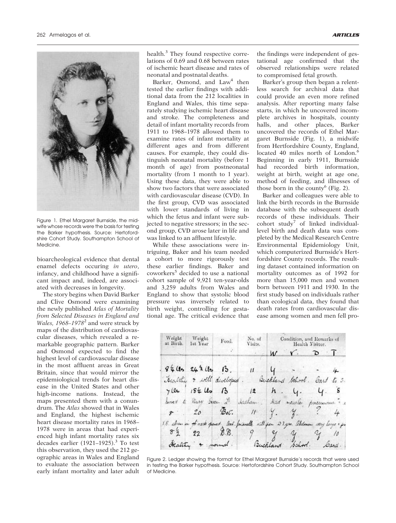

Figure 1. Ethel Margaret Burnside, the midwife whose records were the basis for testing the Barker hypothesis. Source: Hertofordshire Cohort Study. Southampton School of Medicine.

bioarcheological evidence that dental enamel defects occuring in utero, infancy, and childhood have a significant impact and, indeed, are associated with decreases in longevity.

The story begins when David Barker and Clive Osmond were examining the newly published Atlas of Mortality from Selected Diseases in England and Wales,  $1968 - 1978^2$  and were struck by maps of the distribution of cardiovascular diseases, which revealed a remarkable geographic pattern. Barker and Osmond expected to find the highest level of cardiovascular disease in the most affluent areas in Great Britain, since that would mirror the epidemiological trends for heart disease in the United States and other high-income nations. Instead, the maps presented them with a conundrum. The Atlas showed that in Wales and England, the highest ischemic heart disease mortality rates in 1968– 1978 were in areas that had experienced high infant mortality rates six decades earlier (1921–1925).<sup>3</sup> To test this observation, they used the 212 geographic areas in Wales and England to evaluate the association between early infant mortality and later adult health.<sup>3</sup> They found respective correlations of 0.69 and 0.68 between rates of ischemic heart disease and rates of neonatal and postnatal deaths.

Barker, Osmond, and Law<sup>4</sup> then tested the earlier findings with additional data from the 212 localities in England and Wales, this time separately studying ischemic heart disease and stroke. The completeness and detail of infant mortality records from 1911 to 1968–1978 allowed them to examine rates of infant mortality at different ages and from different causes. For example, they could distinguish neonatal mortality (before 1 month of age) from postneonatal mortality (from 1 month to 1 year). Using these data, they were able to show two factors that were associated with cardiovascular disease (CVD). In the first group, CVD was associated with lower standards of living in which the fetus and infant were subjected to negative stressors; in the second group, CVD arose later in life and was linked to an affluent lifestyle.

While these associations were intriguing, Baker and his team needed a cohort to more rigorously test these earlier findings. Baker and coworkers<sup>5</sup> decided to use a national cohort sample of 9,921 ten-year-olds and 3,259 adults from Wales and England to show that systolic blood pressure was inversely related to birth weight, controlling for gestational age. The critical evidence that

the findings were independent of gestational age confirmed that the observed relationships were related to compromised fetal growth.

Barker's group then began a relentless search for archival data that could provide an even more refined analysis. After reporting many false starts, in which he uncovered incomplete archives in hospitals, county halls, and other places, Barker uncovered the records of Ethel Margaret Burnside (Fig. 1), a midwife from Hertfordshire County, England, located 40 miles north of London.<sup>6</sup> Beginning in early 1911, Burnside had recorded birth information, weight at birth, weight at age one, method of feeding, and illnesses of those born in the county<sup>6</sup> (Fig. 2).

Barker and colleagues were able to link the birth records in the Burnside database with the subsequent death records of these individuals. Their cohort study<sup>7</sup> of linked individuallevel birth and death data was completed by the Medical Research Centre Environmental Epidemiology Unit, which computerized Burnside's Hertfordshire County records. The resulting dataset contained information on mortality outcomes as of 1992 for more than 15,000 men and women born between 1911 and 1930. In the first study based on individuals rather than ecological data, they found that death rates from cardiovascular disease among women and men fell pro-

Weight Weight No. of Condition, and Remarks of Food. at Birth. 1st Year Visits. Health Visitor. w V. 5  $8443241$  $\mathfrak{g}$ .  $\mathbf{u}$ 4 bealthe & well diveloped. Buckland School. Eard to s.  $184$   $u_0$  $\beta$  $12$  $706$  $h$ . 4. s Bury Seen Le henred to *Sedham*. Had measles precurrence  $20$  $Bot.$  $\prime\prime$ of neck opened. And forwardly still from 23 yrs. Abdomen very large . su  $2.73$  $22$ + normal. Card. Mand

Figure 2. Ledger showing the format for Ethel Margaret Burnside's records that were used in testing the Barker hypothesis. Source: Hertofordshire Cohort Study. Southampton School of Medicine.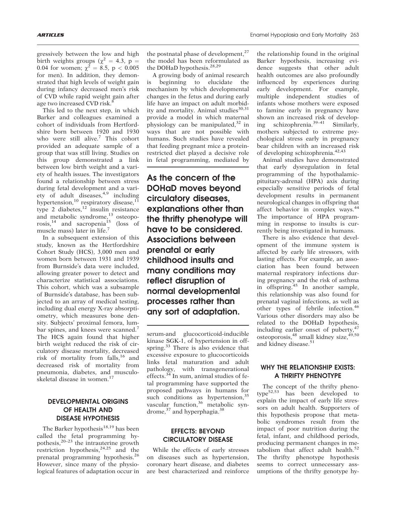gressively between the low and high birth weights groups ( $\chi^2 = 4.3$ , p = 0.04 for women;  $\chi^2 = 8.5$ , p < 0.005 for men). In addition, they demonstrated that high levels of weight gain during infancy decreased men's risk of CVD while rapid weight gain after age two increased CVD risk.<sup>8</sup>

This led to the next step, in which Barker and colleagues examined a cohort of individuals from Hertfordshire born between 1920 and 1930 who were still alive.<sup>7</sup> This cohort provided an adequate sample of a group that was still living. Studies on this group demonstrated a link between low birth weight and a variety of health issues. The investigators found a relationship between stress during fetal development and a variety of adult diseases,<sup>4,9</sup> including hypertension,<sup>10</sup> respiratory disease,<sup>11</sup> type 2 diabetes,<sup>12</sup> insulin resistance and metabolic syndrome,<sup>13</sup> osteoporosis,<sup>14</sup> and sacropenia<sup>15</sup> (loss of muscle mass) later in life.<sup>7</sup>

In a subsequent extension of this study, known as the Hertfordshire Cohort Study (HCS), 3,000 men and women born between 1931 and 1939 from Burnside's data were included, allowing greater power to detect and characterize statistical associations. This cohort, which was a subsample of Burnside's database, has been subjected to an array of medical testing, including dual energy X-ray absorptiometry, which measures bone density. Subjects' proximal femora, lumbar spines, and knees were scanned.<sup>7</sup> The HCS again found that higher birth weight reduced the risk of circulatory disease mortality, decreased risk of mortality from falls,<sup>16</sup> and decreased risk of mortality from pneumonia, diabetes, and musculoskeletal disease in women.<sup>17</sup>

### DEVELOPMENTAL ORIGINS OF HEALTH AND DISEASE HYPOTHESIS

The Barker hypothesis<sup>18,19</sup> has been called the fetal programming hy $p_0$  and  $p_1$   $p_2$   $p_3$  the intrauterine growth restriction hypothesis, $2^{4,25}$  and the prenatal programming hypothesis.<sup>26</sup> However, since many of the physiological features of adaptation occur in the postnatal phase of development,<sup>27</sup> the model has been reformulated as the DOHaD hypothesis.<sup>28,29</sup>

A growing body of animal research is beginning to elucidate the mechanism by which developmental changes in the fetus and during early life have an impact on adult morbidity and mortality. Animal studies $30,31$ provide a model in which maternal physiology can be manipulated, $32$  in ways that are not possible with humans. Such studies have revealed that feeding pregnant mice a proteinrestricted diet played a decisive role in fetal programming, mediated by

As the concern of the DOHaD moves beyond circulatory diseases, explanations other than the thrifty phenotype will have to be considered. Associations between prenatal or early childhood insults and many conditions may reflect disruption of normal developmental processes rather than any sort of adaptation.

serum-and glucocorticoid-inducible kinase SGK-1, of hypertension in offspring.<sup>33</sup> There is also evidence that excessive exposure to glucocorticoids links fetal maturation and adult pathology, with transgenerational effects.<sup>34</sup> In sum, animal studies of fetal programming have supported the proposed pathways in humans for such conditions as hypertension,<sup>35</sup> vascular function,<sup>36</sup> metabolic syndrome,<sup>37</sup> and hyperphagia.<sup>38</sup>

### EFFECTS: BEYOND CIRCULATORY DISEASE

While the effects of early stresses on diseases such as hypertension, coronary heart disease, and diabetes are best characterized and reinforce

the relationship found in the original Barker hypothesis, increasing evidence suggests that other adult health outcomes are also profoundly influenced by experiences during early development. For example, multiple independent studies of infants whose mothers were exposed to famine early in pregnancy have shown an increased risk of developing schizophrenia.39–41 Similarly, mothers subjected to extreme psychological stress early in pregnancy bear children with an increased risk of developing schizophrenia.<sup>42,43</sup>

Animal studies have demonstrated that early dysregulation in fetal programming of the hypothalamicpituitary-adrenal (HPA) axis during especially sensitive periods of fetal development results in permanent neurological changes in offspring that affect behavior in complex ways.<sup>44</sup> The importance of HPA programming in response to insults is currently being investigated in humans.

There is also evidence that development of the immune system is affected by early life stressors, with lasting effects. For example, an association has been found between maternal respiratory infections during pregnancy and the risk of asthma in offspring.<sup>45</sup> In another sample, this relationship was also found for prenatal vaginal infections, as well as other types of febrile infection.<sup>46</sup> Various other disorders may also be related to the DOHaD hypothesis, including earlier onset of puberty, $47$ osteoporosis,  $48$  small kidney size,  $49,50$ and kidney disease.<sup>51</sup>

#### WHY THE RELATIONSHIP EXISTS: A THRIFTY PHENOTYPE

The concept of the thrifty phenotype52,53 has been developed to explain the impact of early life stressors on adult health. Supporters of this hypothesis propose that metabolic syndromes result from the impact of poor nutrition during the fetal, infant, and childhood periods, producing permanent changes in metabolism that affect adult health.<sup>52</sup> The thrifty phenotype hypothesis seems to correct unnecessary assumptions of the thrifty genotype hy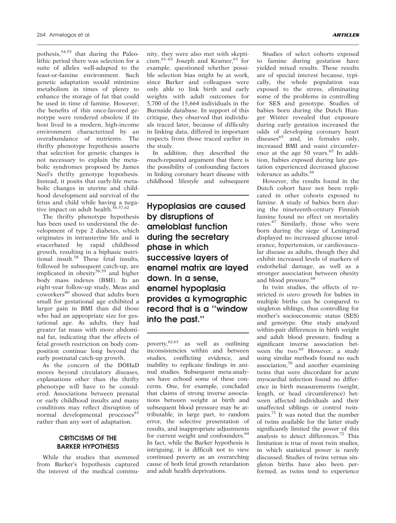pothesis,54,55 that during the Paleolithic period there was selection for a suite of alleles well-adapted to the feast-or-famine environment. Such genetic adaptation would minimize metabolism in times of plenty to enhance the storage of fat that could be used in time of famine. However, the benefits of this once-favored genotype were rendered obsolete if its host lived in a modern, high-income environment characterized by an overabundance of nutrients. The thrifty phenotype hypothesis asserts that selection for genetic changes is not necessary to explain the metabolic syndromes proposed by James Neel's thrifty genotype hypothesis. Instead, it posits that early-life metabolic changes in uterine and childhood development aid survival of the fetus and child while having a negative impact on adult health. $\frac{56,57,62}{56,57,62}$ 

The thrifty phenotype hypothesis has been used to understand the development of type 2 diabetes, which originates in intrauterine life and is exacerbated by rapid childhood growth, resulting in a biphasic nutritional insult.<sup>58</sup> These fetal insults, followed by subsequent catch-up, are implicated in obesity<sup>56,59</sup> and higher body mass indexes (BMI). In an eight-year follow-up study, Meas and coworkers<sup>60</sup> showed that adults born small for gestational age exhibited a larger gain in BMI than did those who had an appropriate size for gestational age. As adults, they had greater fat mass with more abdominal fat, indicating that the effects of fetal growth restriction on body composition continue long beyond the early postnatal catch-up growth.

As the concern of the DOHaD moves beyond circulatory diseases, explanations other than the thrifty phenotype will have to be considered. Associations between prenatal or early childhood insults and many conditions may reflect disruption of normal developmental processes $^{61}$ rather than any sort of adaptation.

#### CRITICISMS OF THE BARKER HYPOTHESIS

While the studies that stemmed from Barker's hypothesis captured the interest of the medical community, they were also met with skepticism. $61-63$  Joseph and Kramer, $61$  for example, questioned whether possible selection bias might be at work, since Barker and colleagues were only able to link birth and early weights with adult outcomes for 5,700 of the 15,664 individuals in the Burnside database. In support of this critique, they observed that individuals traced later, because of difficulty in linking data, differed in important respects from those traced earlier in the study.

In addition, they described the much-repeated argument that there is the possibility of confounding factors in linking coronary heart disease with childhood lifestyle and subsequent

Hypoplasias are caused by disruptions of ameloblast function during the secretary phase in which successive layers of enamel matrix are layed down. In a sense, enamel hypoplasia provides a kymographic record that is a ''window into the past.''

poverty,62,63 as well as outlining inconsistencies within and between studies, conflicting evidence, and inability to replicate findings in animal studies. Subsequent meta-analyses have echoed some of these concerns. One, for example, concluded that claims of strong inverse associations between weight at birth and subsequent blood pressure may be attributable, in large part, to random error, the selective presentation of results, and inappropriate adjustments for current weight and confounders.<sup>64</sup> In fact, while the Barker hypothesis is intriguing, it is difficult not to view continued poverty as an overarching cause of both fetal growth retardation and adult health deprivations.

Studies of select cohorts exposed to famine during gestation have yielded mixed results. These results are of special interest because, typically, the whole population was exposed to the stress, eliminating some of the problems in controlling for SES and genotype. Studies of babies born during the Dutch Hunger Winter revealed that exposure during early gestation increased the odds of developing coronary heart diseases<sup>65</sup> and, in females only, increased BMI and waist circumference at the age 50 years.<sup>65</sup> In addition, babies exposed during late gestation experienced decreased glucose tolerance as adults.<sup>66</sup>

However, the results found in the Dutch cohort have not been replicated in other cohorts exposed to famine. A study of babies born during the nineteenth-century Finnish famine found no effect on mortality rates.67 Similarly, those who were born during the siege of Leningrad displayed no increased glucose intolerance, hypertension, or cardiovascular disease as adults, though they did exhibit increased levels of markers of endothelial damage, as well as a stronger association between obesity and blood pressure.<sup>68</sup>

In twin studies, the effects of restricted in utero growth for babies in multiple births can be compared to singleton siblings, thus controlling for mother's socioeconomic status (SES) and genotype. One study analyzed within-pair differences in birth weight and adult blood pressure, finding a significant inverse association between the two.<sup>69</sup> However, a study using similar methods found no such association, $70$  and another examining twins that were discordant for acute myocardial infection found no difference in birth measurements (weight, length, or head circumference) between affected individuals and their unaffected siblings or control twinpairs.71 It was noted that the number of twins available for the latter study significantly limited the power of this analysis to detect differences.<sup>72</sup> This limitation is true of most twin studies, in which statistical power is rarely discussed. Studies of twins versus singleton births have also been performed, as twins tend to experience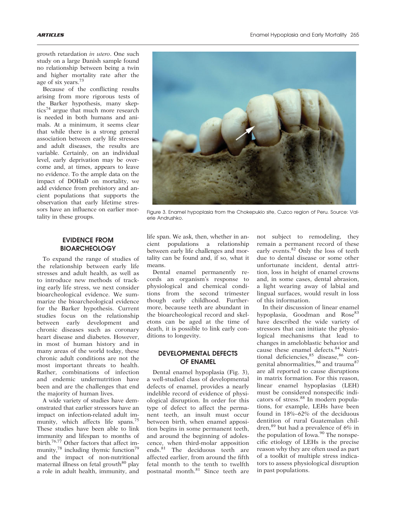growth retardation in utero. One such study on a large Danish sample found no relationship between being a twin and higher mortality rate after the age of six years.73

Because of the conflicting results arising from more rigorous tests of the Barker hypothesis, many skeptics<sup>74</sup> argue that much more research is needed in both humans and animals. At a minimum, it seems clear that while there is a strong general association between early life stresses and adult diseases, the results are variable. Certainly, on an individual level, early deprivation may be overcome and, at times, appears to leave no evidence. To the ample data on the impact of DOHaD on mortality, we add evidence from prehistory and ancient populations that supports the observation that early lifetime stressors have an influence on earlier mortality in these groups.

#### EVIDENCE FROM **BIOARCHEOLOGY**

To expand the range of studies of the relationship between early life stresses and adult health, as well as to introduce new methods of tracking early life stress, we next consider bioarcheological evidence. We summarize the bioarcheological evidence for the Barker hypothesis. Current studies focus on the relationship between early development and chronic diseases such as coronary heart disease and diabetes. However, in most of human history and in many areas of the world today, these chronic adult conditions are not the most important threats to health. Rather, combinations of infection and endemic undernutrition have been and are the challenges that end the majority of human lives.

A wide variety of studies have demonstrated that earlier stressors have an impact on infection-related adult immunity, which affects life spans.<sup>75</sup> These studies have been able to link immunity and lifespan to months of birth.<sup>76,77</sup> Other factors that affect immunity,<sup>78</sup> including thymic function<sup>79</sup> and the impact of non-nutritional maternal illness on fetal growth<sup>80</sup> play a role in adult health, immunity, and



Figure 3. Enamel hypoplasia from the Chokepukio site, Cuzco region of Peru. Source: Valerie Andrushko.

life span. We ask, then, whether in ancient populations a relationship between early life challenges and mortality can be found and, if so, what it means.

Dental enamel permanently records an organism's response to physiological and chemical conditions from the second trimester though early childhood. Furthermore, because teeth are abundant in the bioarcheological record and skeletons can be aged at the time of death, it is possible to link early conditions to longevity.

## DEVELOPMENTAL DEFECTS OF ENAMEL

Dental enamel hypoplasia (Fig. 3), a well-studied class of developmental defects of enamel, provides a nearly indelible record of evidence of physiological disruption. In order for this type of defect to affect the permanent teeth, an insult must occur between birth, when enamel apposition begins in some permanent teeth, and around the beginning of adolescence, when third-molar apposition ends.<sup>81</sup> The deciduous teeth are affected earlier, from around the fifth fetal month to the tenth to twelfth postnatal month.<sup>81</sup> Since teeth are

not subject to remodeling, they remain a permanent record of these early events.<sup>82</sup> Only the loss of teeth due to dental disease or some other unfortunate incident, dental attrition, loss in height of enamel crowns and, in some cases, dental abrasion, a light wearing away of labial and lingual surfaces, would result in loss of this information.

In their discussion of linear enamel hypoplasia, Goodman and Rose<sup>83</sup> have described the wide variety of stressors that can initiate the physiological mechanisms that lead to changes in ameloblastic behavior and cause these enamel defects.<sup>84</sup> Nutritional deficiencies, 85 disease, 86 congenital abnormalities.<sup>86</sup> and trauma<sup>87</sup> are all reported to cause disruptions in matrix formation. For this reason, linear enamel hypoplasias (LEH) must be considered nonspecific indicators of stress.<sup>88</sup> In modern populations, for example, LEHs have been found in 18%–62% of the deciduous dentition of rural Guatemalan children,<sup>89</sup> but had a prevalence of 6% in the population of Iowa.<sup>90</sup> The nonspecific etiology of LEHs is the precise reason why they are often used as part of a toolkit of multiple stress indicators to assess physiological disruption in past populations.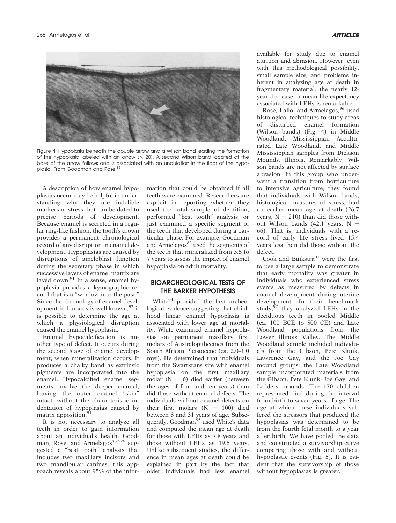



Figure 4. Hypoplasia beneath the double arrow and a Wilson band leading the formation of the hypoplasia labeled with an arrow  $(x 20)$ . A second Wilson band located at the base of the arrow follows and is associated with an undulation in the floor of the hypoplasia. From Goodman and Rose.<sup>83</sup>

A description of how enamel hypoplasias occur may be helpful in understanding why they are indelible markers of stress that can be dated to precise periods of development. Because enamel is secreted in a regular ring-like fashion, the tooth's crown provides a permanent chronological record of any disruption in enamel development. Hypoplasias are caused by disruptions of ameloblast function during the secretary phase in which successive layers of enamel matrix are layed down. $91$  In a sense, enamel hypoplasia provides a kymographic record that is a ''window into the past.'' Since the chronology of enamel development in humans is well known,  $92$  it is possible to determine the age at which a physiological disruption caused the enamel hypoplasia.

Enamel hypocalcification is another type of defect. It occurs during the second stage of enamel development, when mineralization occurs. It produces a chalky band as extrinsic pigments are incorporated into the enamel. Hypocalcified enamel segments involve the deeper enamel, leaving the outer enamel ''skin'' intact, without the characteristic indentation of hypoplasias caused by matrix apposition.<sup>91</sup>

It is not necessary to analyze all teeth in order to gain information about an individual's health. Goodman, Rose, and Armelagos<sup>93:526</sup> suggested a ''best tooth'' analysis that includes two maxillary incisors and two mandibular canines; this approach reveals about 95% of the information that could be obtained if all teeth were examined. Researchers are explicit in reporting whether they used the total sample of dentition, performed ''best tooth'' analysis, or just examined a specific segment of the teeth that developed during a particular phase. For example, Goodman and Armelagos<sup>82</sup> used the segments of the teeth that mineralized from 3.5 to 7 years to assess the impact of enamel hypoplasia on adult mortality.

#### BIOARCHEOLOGICAL TESTS OF THE BARKER HYPOTHESIS

White<sup>94</sup> provided the first archeological evidence suggesting that childhood linear enamel hypoplasia is associated with lower age at mortality. White examined enamel hypoplasias on permanent maxillary first molars of Australopithecines from the South African Pleistocene (ca. 2.0–1.0 myr). He determined that individuals from the Swartkrans site with enamel hypoplasia on the first maxillary molar ( $N = 6$ ) died earlier (between the ages of four and ten years) than did those without enamel defects. The individuals without enamel defects on their first molars  $(N = 100)$  died between 8 and 31 years of age. Subsequently, Goodman<sup>95</sup> used White's data and computed the mean age at death for those with LEHs as 7.8 years and those without LEHs as 19.6 years. Unlike subsequent studies, the difference in mean ages at death could be explained in part by the fact that older individuals had less enamel

available for study due to enamel attrition and abrasion. However, even with this methodological possibility, small sample size, and problems inherent in analyzing age at death in fragmentary material, the nearly 12 year decrease in mean life expectancy associated with LEHs is remarkable.

Rose, Lallo, and Armelagos, <sup>96</sup> used histological techniques to study areas of disturbed enamel formation (Wilson bands) (Fig. 4) in Middle Woodland, Mississippian Acculturated Late Woodland, and Middle Mississippian samples from Dickson Mounds, Illinois. Remarkably, Wilson bands are not affected by surface abrasion. In this group who underwent a transition from horticulture to intensive agriculture, they found that individuals with Wilson bands, histological measures of stress, had an earlier mean age at death (26.7 years,  $N = 210$ ) than did those without Wilson bands (42.1 years,  $N =$ 66). That is, individuals with a record of early life stress lived 15.4 years less than did those without the defect.

Cook and Buikstra<sup>97</sup> were the first to use a large sample to demonstrate that early mortality was greater in individuals who experienced stress events as measured by defects in enamel development during uterine development. In their benchmark study,  $\frac{5}{7}$  they analyzed LEHs in the deciduous teeth in pooled Middle (ca. 100 BCE to 500 CE) and Late Woodland populations from the Lower Illinois Valley. The Middle Woodland sample included individuals from the Gibson, Pete Klunk, Lawrence Gay, and the Joe Gay mound groups; the Late Woodland sample incorporated materials from the Gibson, Pete Klunk, Joe Gay, and Ledders mounds. The 170 children represented died during the interval from birth to seven years of age. The age at which these individuals suffered the stressors that produced the hypoplasias was determined to be from the fourth fetal month to a year after birth. We have pooled the data and constructed a survivorship curve comparing those with and without hypoplastic events (Fig. 5). It is evident that the survivorship of those without hypoplasias is greater.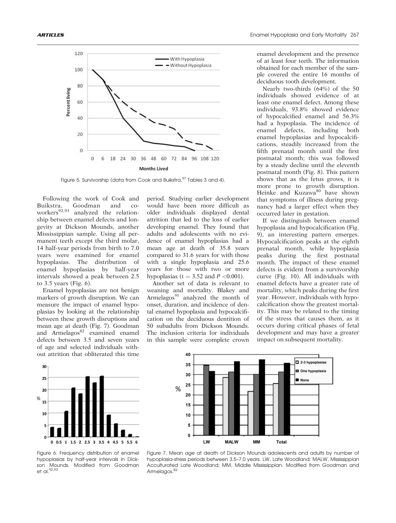

Figure 5. Survivorship (data from Cook and Buikstra,  $97$  Tables 3 and 4).

Following the work of Cook and Buikstra, Goodman and coworkers<sup>92,93</sup> analyzed the relationship between enamel defects and longevity at Dickson Mounds, another Mississippian sample. Using all permanent teeth except the third molar, 14 half-year periods from birth to 7.0 years were examined for enamel hypoplasias. The distribution of enamel hypoplasias by half-year intervals showed a peak between 2.5 to 3.5 years (Fig. 6).

Enamel hypoplasias are not benign markers of growth disruption. We can measure the impact of enamel hypoplasias by looking at the relationship between these growth disruptions and mean age at death (Fig. 7). Goodman and  $Armelagos<sup>82</sup> examined en$ defects between 3.5 and seven years of age and selected individuals without attrition that obliterated this time period. Studying earlier development would have been more difficult as older individuals displayed dental attrition that led to the loss of earlier developing enamel. They found that adults and adolescents with no evidence of enamel hypoplasias had a mean age at death of 35.8 years compared to 31.6 years for with those with a single hypoplasia and 25.6 years for those with two or more hypoplasias ( $t = 3.52$  and  $P < 0.001$ ).

Another set of data is relevant to weaning and mortality. Blakey and Armelagos<sup>91</sup> analyzed the month of onset, duration, and incidence of dental enamel hypoplasia and hypocalcification on the deciduous dentition of 50 subadults from Dickson Mounds. The inclusion criteria for individuals in this sample were complete crown



enamel development and the presence of at least four teeth. The information obtained for each member of the sample covered the entire 16 months of deciduous tooth development.

Nearly two-thirds (64%) of the 50 individuals showed evidence of at least one enamel defect. Among these individuals, 93.8% showed evidence of hypocalcified enamel and 56.3% had a hypoplasia. The incidence of enamel defects, including both enamel hypoplasias and hypocalcifications, steadily increased from the fifth prenatal month until the first postnatal month; this was followed by a steady decline until the eleventh postnatal month (Fig. 8). This pattern shows that as the fetus grows, it is more prone to growth disruption. Heinke and Kuzawa<sup>80</sup> have shown that symptoms of illness during pregnancy had a larger effect when they occurred later in gestation.

If we distinguish between enamel hypoplasia and hypocalcification (Fig. 9), an interesting pattern emerges. Hypocalcification peaks at the eighth prenatal month, while hypoplasia peaks during the first postnatal month. The impact of these enamel defects is evident from a survivorship curve (Fig. 10). All individuals with enamel defects have a greater rate of mortality, which peaks during the first year. However, individuals with hypocalcification show the greatest mortality. This may be related to the timing of the stress that causes them, as it occurs during critical phases of fetal development and may have a greater impact on subsequent mortality.



Figure 6. Frequency distribution of enamel hypoplasias by half-year intervals in Dickson Mounds. Modified from Goodman et al. 92,93



Figure 7. Mean age at death of Dickson Mounds adolescents and adults by number of hypoplasia-stress periods between 3.5–7.0 years. LW, Late Woodland; MALW, Mississippian Acculturated Late Woodland; MM, Middle Mississippian. Modified from Goodman and Armelagos.<sup>82</sup>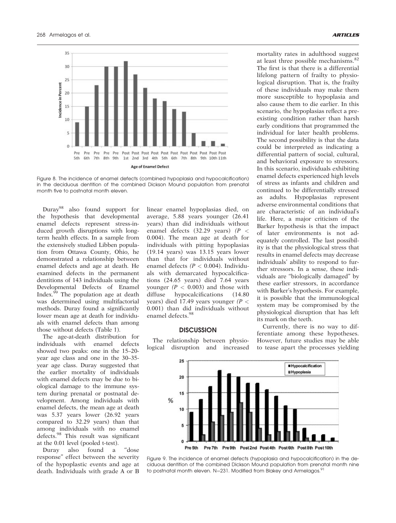

Figure 8. The incidence of enamel defects (combined hypoplasia and hypocalcification) in the deciduous dentition of the combined Dickson Mound population from prenatal month five to postnatal month eleven.

Duray<sup>98</sup> also found support for the hypothesis that developmental enamel defects represent stress-induced growth disruptions with longterm health effects. In a sample from the extensively studied Libben population from Ottawa County, Ohio, he demonstrated a relationship between enamel defects and age at death. He examined defects in the permanent dentitions of 143 individuals using the Developmental Defects of Enamel Index.<sup>99</sup> The population age at death was determined using multifactorial methods. Duray found a significantly lower mean age at death for individuals with enamel defects than among those without defects (Table 1).

The age-at-death distribution for individuals with enamel defects showed two peaks: one in the 15–20 year age class and one in the 30–35 year age class. Duray suggested that the earlier mortality of individuals with enamel defects may be due to biological damage to the immune system during prenatal or postnatal development. Among individuals with enamel defects, the mean age at death was 5.37 years lower (26.92 years compared to 32.29 years) than that among individuals with no enamel defects.<sup>98</sup> This result was significant at the 0.01 level (pooled t-test).

Duray also found a ''dose response'' effect between the severity of the hypoplastic events and age at death. Individuals with grade A or B linear enamel hypoplasias died, on average, 5.88 years younger (26.41 years) than did individuals without enamel defects (32.29 years)  $(P \leq$ 0.004). The mean age at death for individuals with pitting hypoplasias (19.14 years) was 13.15 years lower than that for individuals without enamel defects ( $P < 0.004$ ). Individuals with demarcated hypocalcifications (24.65 years) died 7.64 years younger  $(P < 0.003)$  and those with diffuse hypocalcifications (14.80) years) died 17.49 years younger ( $P <$ 0.001) than did individuals without enamel defects.<sup>98</sup>

#### **DISCUSSION**

The relationship between physiological disruption and increased

mortality rates in adulthood suggest at least three possible mechanisms.82 The first is that there is a differential lifelong pattern of frailty to physiological disruption. That is, the frailty of these individuals may make them more susceptible to hypoplasia and also cause them to die earlier. In this scenario, the hypoplasias reflect a preexisting condition rather than harsh early conditions that programmed the individual for later health problems. The second possibility is that the data could be interpreted as indicating a differential pattern of social, cultural, and behavioral exposure to stressors. In this scenario, individuals exhibiting enamel defects experienced high levels of stress as infants and children and continued to be differentially stressed as adults. Hypoplasias represent adverse environmental conditions that are characteristic of an individual's life. Here, a major criticism of the Barker hypothesis is that the impact of later environments is not adequately controlled. The last possibility is that the physiological stress that results in enamel defects may decrease individuals' ability to respond to further stressors. In a sense, these individuals are ''biologically damaged'' by these earlier stressors, in accordance with Barker's hypothesis. For example, it is possible that the immunological system may be compromised by the physiological disruption that has left its mark on the teeth.

Currently, there is no way to differentiate among these hypotheses. However, future studies may be able to tease apart the processes yielding



Figure 9. The incidence of enamel defects (hypoplasia and hypocalcification) in the deciduous dentition of the combined Dickson Mound population from prenatal month nine to postnatal month eleven. N=231. Modified from Blakey and Armelagos.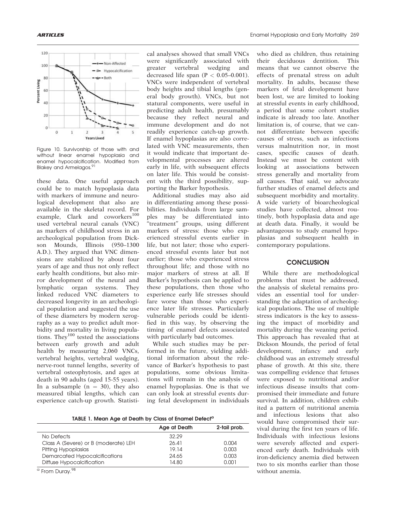120

100

80



Figure 10. Survivorship of those with and without linear enamel hypoplasia and enamel hypocalcification. Modified from Blakey and Armelagos.<sup>9</sup>

these data. One useful approach could be to match hypoplasia data with markers of immune and neurological development that also are available in the skeletal record. For example, Clark and coworkers<sup>100</sup> used vertebral neural canals (VNC) as markers of childhood stress in an archeological population from Dickson Mounds, Illinois (950–1300 A.D.). They argued that VNC dimensions are stabilized by about four years of age and thus not only reflect early health conditions, but also mirror development of the neural and lymphatic organ systems. They linked reduced VNC diameters to decreased longevity in an archeological population and suggested the use of these diameters by modern xerography as a way to predict adult morbidity and mortality in living populations. They<sup>100</sup> tested the associations between early growth and adult health by measuring 2,060 VNCs, vertebral heights, vertebral wedging, nerve-root tunnel lengths, severity of vertebral osteophytosis, and ages at death in 90 adults (aged 15-55 years). In a subsample  $(n = 30)$ , they also measured tibial lengths, which can experience catch-up growth. Statistical analyses showed that small VNCs were significantly associated with greater vertebral wedging and decreased life span  $(P < 0.05-0.001)$ . VNCs were independent of vertebral body heights and tibial lengths (general body growth). VNCs, but not statural components, were useful in predicting adult health, presumably because they reflect neural and immune development and do not readily experience catch-up growth. If enamel hypoplasias are also correlated with VNC measurements, then it would indicate that important developmental processes are altered early in life, with subsequent effects on later life. This would be consistent with the third possibility, supporting the Barker hypothesis.

Additional studies may also aid in differentiating among these possibilities. Individuals from large samples may be differentiated into "treatment" groups, using different markers of stress: those who experienced stressful events earlier in life, but not later; those who experienced stressful events later but not earlier; those who experienced stress throughout life; and those with no major markers of stress at all. If Barker's hypothesis can be applied to these populations, then those who experience early life stresses should fare worse than those who experience later life stresses. Particularly vulnerable periods could be identified in this way, by observing the timing of enamel defects associated with particularly bad outcomes.

While such studies may be performed in the future, yielding additional information about the relevance of Barker's hypothesis to past populations, some obvious limitations will remain in the analysis of enamel hypoplasias. One is that we can only look at stressful events during fetal development in individuals

TABLE 1. Mean Age at Death by Class of Enamel Defect<sup>a</sup>

|                                      | Age at Death | 2-tail prob. |
|--------------------------------------|--------------|--------------|
| No Defects                           | 32.29        |              |
| Class A (Severe) or B (moderate) LEH | 26.41        | 0.004        |
| Pitting Hypoplasias                  | 19.14        | 0.003        |
| Demarcated Hypocalcifications        | 24.65        | 0.003        |
| Diffuse Hypocalcification            | 14.80        | 0.001        |

<sup>a</sup> From Duray.<sup>98</sup>

who died as children, thus retaining their deciduous dentition. This means that we cannot observe the effects of prenatal stress on adult mortality. In adults, because these markers of fetal development have been lost, we are limited to looking at stressful events in early childhood, a period that some cohort studies indicate is already too late. Another limitation is, of course, that we cannot differentiate between specific causes of stress, such as infections versus malnutrition nor, in most cases, specific causes of death. Instead we must be content with looking at associations between stress generally and mortality from all causes. That said, we advocate further studies of enamel defects and subsequent morbidity and mortality. A wide variety of bioarcheological studies have collected, almost routinely, both hypoplasia data and age at death data. Finally, it would be advantageous to study enamel hypoplasias and subsequent health in contemporary populations.

#### **CONCLUSION**

While there are methodological problems that must be addressed, the analysis of skeletal remains provides an essential tool for understanding the adaptation of archeological populations. The use of multiple stress indicators is the key to assessing the impact of morbidity and mortality during the weaning period. This approach has revealed that at Dickson Mounds, the period of fetal development, infancy and early childhood was an extremely stressful phase of growth. At this site, there was compelling evidence that fetuses were exposed to nutritional and/or infectious disease insults that compromised their immediate and future survival. In addition, children exhibited a pattern of nutritional anemia and infectious lesions that also would have compromised their survival during the first ten years of life. Individuals with infectious lesions were severely affected and experienced early death. Individuals with iron-deficiency anemia died between two to six months earlier than those without anemia.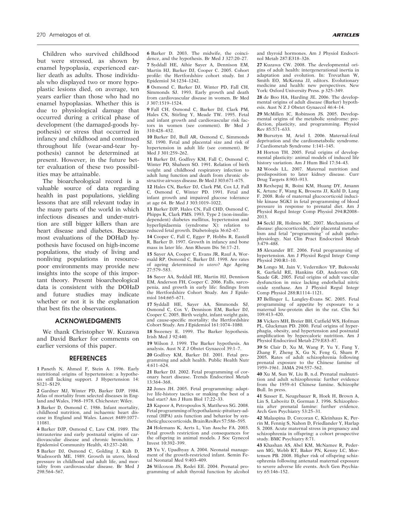Children who survived childhood but were stressed, as shown by enamel hypoplasia, experienced earlier death as adults. Those individuals who displayed two or more hypoplastic lesions died, on average, ten years earlier than those who had no enamel hypoplasias. Whether this is due to physiological damage that occurred during a critical phase of development (the damaged-goods hypothesis) or stress that occurred in infancy and childhood and continued throughout life (wear-and-tear hypothesis) cannot be determined at present. However, in the future better evaluation of these two possibilities may be attainable.

The bioarcheological record is a valuable source of data regarding health in past populations, yielding lessons that are still relevant today in the many parts of the world in which infectious diseases and under-nutrition are still bigger killers than are heart disease and diabetes. Because most evaluations of the DOHaD hypothesis have focused on high-income populations, the study of living and nonliving populations in resourcepoor environments may provide new insights into the scope of this important theory. Present bioarcheological data is consistent with the DOHaD and future studies may indicate whether or not it is the explanation that best fits the observations.

#### ACKNOWLEDGMENTS

We thank Christopher W. Kuzawa and David Barker for comments on earlier versions of this paper.

#### REFERENCES

1 Paneth N, Ahmed F, Stein A. 1996. Early nutritional origins of hypertension: a hypothesis still lacking support. J Hypertension 14: S121–S129.

2 Gardner MJ, Winter PD, Barker DJP. 1984. Atlas of mortality from selected diseases in England and Wales, 1968–1978. Chichester: Wiley.

3 Barker D, Osmond C. 1986. Infant mortality, childhood nutrition, and ischaemic heart disease in England and Wales. Lancet 8489:1077– 11081.

4 Barker DJP, Osmond C, Law CM. 1989. The intrauterine and early postnatal origins of cardiovascular disease and chronic bronchitis. J Epidemiol Community Health, 43:237–240.

5 Barker DJ, Osmond C, Golding J, Kuh D, Wadsworth ME. 1989. Growth in utero, blood pressure in childhood and adult life, and mortality from cardiovascular disease. Br Med J 298:564–567.

6 Barker D. 2003. The midwife, the coincidence, and the hypothesis. Br Med J 327:20–27. 7 Syddall HE, Aihie Sayer A, Dennison EM, Martin HJ, Barker DJ, Cooper C. 2005. Cohort profile: the Hertfordshire cohort study. Int J Epidemiol 34:1234–1242.

8 Osmond C, Barker DJ, Winter PD, Fall CH, Simmonds SJ. 1993. Early growth and death from cardiovascular disease in women. Br Med J 307:1519–1524.

9 Fall CH, Osmond C, Barker DJ, Clark PM, Hales CN, Stirling Y, Meade TW. 1995. Fetal and infant growth and cardiovascular risk factors in women (see comment). Br Med J 310:428–432.

10 Barker DJ, Bull AR, Osmond C, Simmonds SJ. 1990. Fetal and placental size and risk of hypertension in adult life (see comment). Br Med J 301:259–262.

11 Barker DJ, Godfrey KM, Fall C, Osmond C, Winter PD, Shaheen SO. 1991. Relation of birth weight and childhood respiratory infection to adult lung function and death from chronic obstructive airways disease. Br Med J 303:671–675.

12 Hales CN, Barker DJ, Clark PM, Cox LJ, Fall C, Osmond C, Winter PD. 1991. Fetal and infant growth and impaired glucose tolerance at age 64. Br Med J 303:1019–1022.

13 Barker DJP, Hales CN, Fall CHD, Osmond C, Phipps K, Clark PMS. 1993. Type 2 (non-insulindependent) diabetes mellitus, hypertension and hyperlipidaemia (syndrome X): relation to reduced fetal growth. Diabetologia 36:62–67.

14 Cooper C, Fall C, Egger P, Hobbs R, Eastell R, Barker D. 1997. Growth in infancy and bone mass in later life. Ann Rheum Dis 56:17–21.

15 Sayer AA, Cooper C, Evans JR, Rauf A, Wormald RP, Osmond C, Barker DJ. 1998. Are rates of ageing determined in utero? Age Ageing 27:579–583.

16 Sayer AA, Syddall HE, Martin HJ, Dennison EM, Anderson FH, Cooper C. 2006. Falls, sarcopenia, and growth in early life: findings from the Hertfordshire Cohort Study. Am J Epidemiol 164:665–671.

17 Syddall HE, Sayer AA, Simmonds SJ, Osmond C, Cox V, Dennison EM, Barker DJ, Cooper C. 2005. Birth weight, infant weight gain, and cause-specific mortality: the Hertfordshire Cohort Study. Am J Epidemiol 161:1074–1080.

18 Sweeney E. 1999. The Barker hypothesis. Irish Med J 92:440.

19 Wilson J. 1999. The Barker hypothesis. An analysis. Aust N Z J Obstet Gynaecol 39:1–7.

20 Godfrey KM, Barker DJ. 2001. Fetal programming and adult health. Public Health Nutr 4:611–624.

21 Barker DJ. 2002. Fetal programming of coronary heart disease. Trends Endocrinol Metab 13:364–368.

22 Jones JH. 2005. Fetal programming: adaptive life-history tactics or making the best of a bad start? Am J Hum Biol 17:22–33.

23 Kapoor A, Petropoulos S, Matthews SG. 2008. Fetal programming of hypothalamic-pituitary-adrenal (HPA) axis function and behavior by syntheticglucocorticoids.BrainResRev57:586–595.

24 Holemans K, Aerts L, Van Assche FA. 2003. Fetal growth restriction and consequences for the offspring in animal models. J Soc Gynecol Invest 10:392–399.

25 Yu V, Upadhyay A. 2004. Neonatal management of the growth-restricted infant. Semin Fetal Neonatal Med 9:403–409.

26 Wilcoxon JS, Redei EE. 2004. Prenatal programming of adult thyroid function by alcohol and thyroid hormones. Am J Physiol Endocrinol Metab 287:E318–326.

27 Kuzawa CW. 2008. The developmental origins of adult health: intergenerational inertia in adaptation and evolution. In: Trevathan W, Smith EO, McKenna JJ, editors. Evolutionary medicine and health: new perspectives. New York: Oxford University Press. p 325–349.

28 de Boo HA, Harding JE. 2006. The developmental origins of adult disease (Barker) hypothesis. Aust N Z J Obstet Gynaecol 46:4–14.

29 McMillen IC, Robinson JS. 2005. Developmental origins of the metabolic syndrome: prediction, plasticity, and programming. Physiol Rev 85:571–633.

30 Bursztyn M, Ariel I. 2006. Maternal-fetal deprivation and the cardiometabolic syndrome. J Cardiometab Syndrome 1:141–145.

31 Horton TH. 2005. Fetal origins of developmental plasticity: animal models of induced life history variation. Am J Hum Biol 17:34–43.

32 Woods LL. 2007. Maternal nutrition and predisposition to later kidney disease. Curr Drug Targets 8:903–913.

33 Rexhepaj R, Boini KM, Huang DY, Amann K, Artunc F, Wang K, Brosens JJ, Kuhl D, Lang F. 2008. Role of maternal glucocorticoid inducible kinase SGK1 in fetal programming of blood pressure in response to prenatal diet. Am J Physiol Regul Integr Comp Physiol 294:R2008– 2013.

34 Seckl JR, Holmes MC. 2007. Mechanisms of disease: glucocorticoids, their placental metabo-lism and fetal ''programming'' of adult pathophysiology. Nat Clin Pract Endocrinol Metab 3:479–488.

35 Alexander BT. 2006. Fetal programming of hypertension. Am J Physiol Regul Integr Comp Physiol  $290 \cdot R1 - 10$ .

36 Longo M, Jain V, Vedernikov YP, Bukowski R, Garfield RE, Hankins GD, Anderson GD, Saade GR. 2005. Fetal origins of adult vascular dysfunction in mice lacking endothelial nitric oxide synthase. Am J Physiol Regul Integr Comp Physiol 288:R1114–1121.

37 Bellinger L, Langley-Evans SC. 2005. Fetal programming of appetite by exposure to a maternal low-protein diet in the rat. Clin Sci 109:413–420.

38 Vickers MH, Breier BH, Cutfield WS, Hofman PL, Gluckman PD. 2000. Fetal origins of hyperphagia, obesity, and hypertension and postnatal amplification by hypercaloric nutrition. Am J Physiol Endocrinol Metab 279:E83–87.

39 St Clair D, Xu M, Wang P, Yu Y, Fang Y, Zhang F, Zheng X, Gu N, Feng G, Sham P. 2005. Rates of adult schizophrenia following prenatal exposure to the Chinese famine of 1959–1961. JAMA 294:557–562.

40 Xu M, Sun W, Liu B, n.d. Prenatal malnutrition and adult schizophrenia: further evidence from the 1959–61 Chinese famine. Schizophr Bull. In press.

41 Susser E, Neugebauer R, Hoek H, Brown A, Lin S, Labovitz D, Gorman J. 1996. Schizophrenia after prenatal famine: further evidence. Arch Gen Psychiatry 53:25–31.

42 Malaspina D, Corcoran C, Kleinhaus K, Perrin M, Fennig S, Nahon D, Friedlander Y, Harlap S. 2008. Acute maternal stress in pregnancy and schizophrenia in offspring: a cohort prospective study. BMC Psychiatry 8:71.

43 Khashan AS, Abel KM, McNamee R, Pedersen MG, Webb RT, Baker PN, Kenny LC, Mortensen PB. 2008. Higher risk of offspring schizophrenia following antenatal maternal exposure to severe adverse life events. Arch Gen Psychiatry 65:146–152.